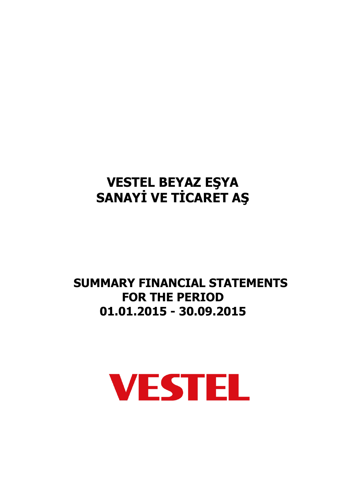## **SUMMARY FINANCIAL STATEMENTS FOR THE PERIOD 01.01.2015 - 30.09.2015**

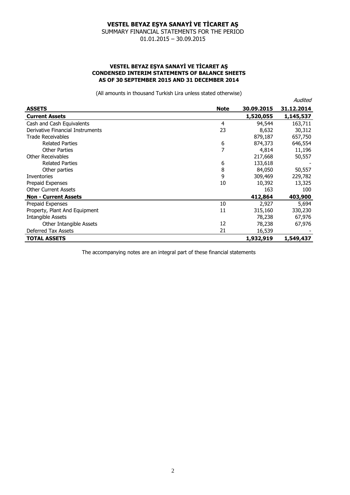SUMMARY FINANCIAL STATEMENTS FOR THE PERIOD 01.01.2015 – 30.09.2015

#### **VESTEL BEYAZ EŞYA SANAYİ VE TİCARET AŞ CONDENSED INTERIM STATEMENTS OF BALANCE SHEETS AS OF 30 SEPTEMBER 2015 AND 31 DECEMBER 2014**

(All amounts in thousand Turkish Lira unless stated otherwise)

|                                  |             |            | Audited    |
|----------------------------------|-------------|------------|------------|
| <b>ASSETS</b>                    | <b>Note</b> | 30,09,2015 | 31.12.2014 |
| <b>Current Assets</b>            |             | 1,520,055  | 1,145,537  |
| Cash and Cash Equivalents        | 4           | 94,544     | 163,711    |
| Derivative Financial Instruments | 23          | 8,632      | 30,312     |
| <b>Trade Receivables</b>         |             | 879,187    | 657,750    |
| <b>Related Parties</b>           | 6           | 874,373    | 646,554    |
| <b>Other Parties</b>             |             | 4,814      | 11,196     |
| <b>Other Receivables</b>         |             | 217,668    | 50,557     |
| <b>Related Parties</b>           | 6           | 133,618    |            |
| Other parties                    | 8           | 84,050     | 50,557     |
| <b>Inventories</b>               | 9           | 309,469    | 229,782    |
| Prepaid Expenses                 | 10          | 10,392     | 13,325     |
| <b>Other Current Assets</b>      |             | 163        | 100        |
| <b>Non - Current Assets</b>      |             | 412,864    | 403,900    |
| Prepaid Expenses                 | 10          | 2,927      | 5,694      |
| Property, Plant And Equipment    | 11          | 315,160    | 330,230    |
| <b>Intangible Assets</b>         |             | 78,238     | 67,976     |
| Other Intangible Assets          | 12          | 78,238     | 67,976     |
| <b>Deferred Tax Assets</b>       | 21          | 16,539     |            |
| <b>TOTAL ASSETS</b>              |             | 1,932,919  | 1,549,437  |

The accompanying notes are an integral part of these financial statements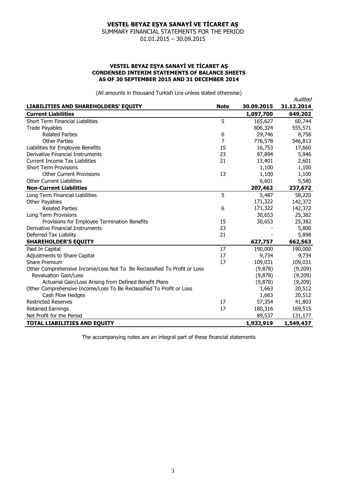SUMMARY FINANCIAL STATEMENTS FOR THE PERIOD 01.01.2015 – 30.09.2015

#### **VESTEL BEYAZ EŞYA SANAYİ VE TİCARET AŞ CONDENSED INTERIM STATEMENTS OF BALANCE SHEETS AS OF 30 SEPTEMBER 2015 AND 31 DECEMBER 2014**

(All amounts in thousand Turkish Lira unless stated otherwise)

|                                                                          |             |            | Audited    |
|--------------------------------------------------------------------------|-------------|------------|------------|
| LIABILITIES AND SHAREHOLDERS' EQUITY                                     | <b>Note</b> | 30.09.2015 | 31.12.2014 |
| <b>Current Liabilities</b>                                               |             | 1,097,700  | 649,202    |
| <b>Short Term Financial Liabilities</b>                                  | 5           | 165,627    | 60,744     |
| <b>Trade Payables</b>                                                    |             | 806,324    | 555,571    |
| <b>Related Parties</b>                                                   | 6           | 29,746     | 8,758      |
| <b>Other Parties</b>                                                     | 7           | 776,578    | 546,813    |
| Liabilities for Employee Benefits                                        | 15          | 16,753     | 17,660     |
| Derivative Financial Instruments                                         | 23          | 87,894     | 5,946      |
| <b>Current Income Tax Liabilities</b>                                    | 21          | 13,401     | 2,601      |
| <b>Short Term Provisions</b>                                             |             | 1,100      | 1,100      |
| <b>Other Current Provisions</b>                                          | 13          | 1,100      | 1,100      |
| <b>Other Current Liabilities</b>                                         |             | 6,601      | 5,580      |
| <b>Non-Current Liabilities</b>                                           |             | 207,462    | 237,672    |
| Long Term Financial Liabilities                                          | 5           | 5,487      | 58,220     |
| Other Payables                                                           |             | 171,322    | 142,372    |
| <b>Related Parties</b>                                                   | 6           | 171,322    | 142,372    |
| Long Term Provisions                                                     |             | 30,653     | 25,382     |
| Provisions for Employee Termination Benefits                             | 15          | 30,653     | 25,382     |
| Derivative Financial Instruments                                         | 23          |            | 5,800      |
| Deferred Tax Liability                                                   | 21          |            | 5,898      |
| <b>SHAREHOLDER'S EQUITY</b>                                              |             | 627,757    | 662,563    |
| Paid In Capital                                                          | 17          | 190,000    | 190,000    |
| Adjustments to Share Capital                                             | 17          | 9,734      | 9,734      |
| <b>Share Premium</b>                                                     | 17          | 109,031    | 109,031    |
| Other Comprehensive Income/Loss Not To Be Reclassified To Profit or Loss |             | (9,878)    | (9,209)    |
| <b>Revaluation Gain/Loss</b>                                             |             | (9,878)    | (9,209)    |
| Actuarial Gain/Loss Arising from Defined Benefit Plans                   |             | (9,878)    | (9,209)    |
| Other Comprehensive Income/Loss To Be Reclassified To Profit or Loss     |             | 1,663      | 20,512     |
| Cash Flow Hedges                                                         |             | 1,663      | 20,512     |
| <b>Restricted Reserves</b>                                               | 17          | 57,354     | 41,803     |
| <b>Retained Earnings</b>                                                 | 17          | 180,316    | 169,515    |
| Net Profit for the Period                                                |             | 89,537     | 131,177    |
| TOTAL LIABILITIES AND EQUITY                                             |             | 1,932,919  | 1,549,437  |

The accompanying notes are an integral part of these financial statements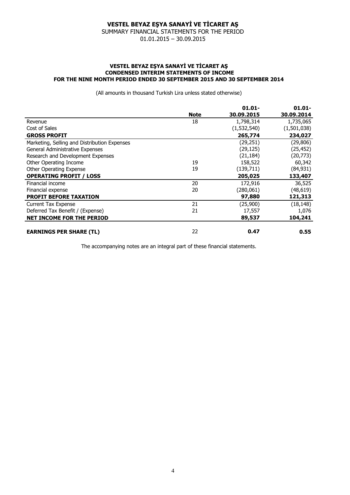SUMMARY FINANCIAL STATEMENTS FOR THE PERIOD

01.01.2015 – 30.09.2015

#### **VESTEL BEYAZ EŞYA SANAYİ VE TİCARET AŞ CONDENSED INTERIM STATEMENTS OF INCOME FOR THE NINE MONTH PERIOD ENDED 30 SEPTEMBER 2015 AND 30 SEPTEMBER 2014**

(All amounts in thousand Turkish Lira unless stated otherwise)

|                                              |             | $01.01 -$   | $01.01 -$   |
|----------------------------------------------|-------------|-------------|-------------|
|                                              | <b>Note</b> | 30.09.2015  | 30.09.2014  |
| Revenue                                      | 18          | 1,798,314   | 1,735,065   |
| Cost of Sales                                |             | (1,532,540) | (1,501,038) |
| <b>GROSS PROFIT</b>                          |             | 265,774     | 234,027     |
| Marketing, Selling and Distribution Expenses |             | (29, 251)   | (29, 806)   |
| General Administrative Expenses              |             | (29, 125)   | (25, 452)   |
| Research and Development Expenses            |             | (21, 184)   | (20, 773)   |
| Other Operating Income                       | 19          | 158,522     | 60,342      |
| Other Operating Expense                      | 19          | (139,711)   | (84, 931)   |
| <b>OPERATING PROFIT / LOSS</b>               |             | 205,025     | 133,407     |
| Financial income                             | 20          | 172,916     | 36,525      |
| Financial expense                            | 20          | (280, 061)  | (48, 619)   |
| <b>PROFIT BEFORE TAXATION</b>                |             | 97,880      | 121,313     |
| <b>Current Tax Expense</b>                   | 21          | (25,900)    | (18, 148)   |
| Deferred Tax Benefit / (Expense)             | 21          | 17,557      | 1,076       |
| <b>NET INCOME FOR THE PERIOD</b>             |             | 89,537      | 104,241     |
| <b>EARNINGS PER SHARE (TL)</b>               | 22          | 0.47        | 0.55        |

The accompanying notes are an integral part of these financial statements.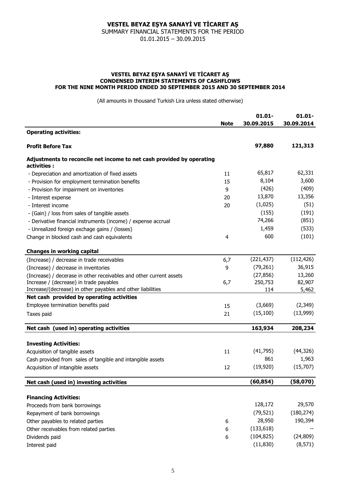SUMMARY FINANCIAL STATEMENTS FOR THE PERIOD 01.01.2015 – 30.09.2015

#### **VESTEL BEYAZ EŞYA SANAYİ VE TİCARET AŞ CONDENSED INTERIM STATEMENTS OF CASHFLOWS FOR THE NINE MONTH PERIOD ENDED 30 SEPTEMBER 2015 AND 30 SEPTEMBER 2014**

(All amounts in thousand Turkish Lira unless stated otherwise)

|                                                                                      | <b>Note</b> | $01.01 -$<br>30.09.2015 | $01.01 -$<br>30.09.2014 |
|--------------------------------------------------------------------------------------|-------------|-------------------------|-------------------------|
| <b>Operating activities:</b>                                                         |             |                         |                         |
| <b>Profit Before Tax</b>                                                             |             | 97,880                  | 121,313                 |
| Adjustments to reconcile net income to net cash provided by operating<br>activities: |             |                         |                         |
| - Depreciation and amortization of fixed assets                                      | 11          | 65,817                  | 62,331                  |
| - Provision for employment termination benefits                                      | 15          | 8,104                   | 3,600                   |
| - Provision for impairment on inventories                                            | 9           | (426)                   | (409)                   |
| - Interest expense                                                                   | 20          | 13,870                  | 13,356                  |
| - Interest income                                                                    | 20          | (1,025)                 | (51)                    |
| - (Gain) / loss from sales of tangible assets                                        |             | (155)                   | (191)                   |
| - Derivative financial instruments (income) / expense accrual                        |             | 74,266                  | (851)                   |
| - Unrealized foreign exchage gains / (losses)                                        |             | 1,459                   | (533)                   |
| Change in blocked cash and cash equivalents                                          | 4           | 600                     | (101)                   |
| <b>Changes in working capital</b>                                                    |             |                         |                         |
| (Increase) / decrease in trade receivables                                           | 6,7         | (221, 437)              | (112, 426)              |
| (Increase) / decrease in inventories                                                 | 9           | (79, 261)               | 36,915                  |
| (Increase) / decerase in other receivables and other current assets                  |             | (27, 856)               | 13,260                  |
| Increase / (decrease) in trade payables                                              | 6,7         | 250,753                 | 82,907                  |
| Increase/(decrease) in other payables and other liabilities                          |             | 114                     | 5,462                   |
| Net cash provided by operating activities                                            |             |                         |                         |
| Employee termination benefits paid                                                   | 15          | (3,669)                 | (2,349)                 |
| Taxes paid                                                                           | 21          | (15, 100)               | (13,999)                |
| Net cash (used in) operating activities                                              |             | 163,934                 | 208,234                 |
| <b>Investing Activities:</b>                                                         |             |                         |                         |
| Acquisition of tangible assets                                                       | 11          | (41, 795)               | (44, 326)               |
| Cash provided from sales of tangible and intangible assets                           |             | 861                     | 1,963                   |
| Acquisition of intangible assets                                                     | 12          | (19,920)                | (15,707)                |
| Net cash (used in) investing activities                                              |             | (60, 854)               | (58,070)                |
|                                                                                      |             |                         |                         |
| <b>Financing Activities:</b>                                                         |             |                         |                         |
| Proceeds from bank borrowings                                                        |             | 128,172                 | 29,570                  |
| Repayment of bank borrowings                                                         |             | (79, 521)               | (180, 274)              |
| Other payables to related parties                                                    | 6           | 28,950                  | 190,394                 |
| Other receivables from related parties                                               | 6           | (133, 618)              |                         |
| Dividends paid                                                                       | 6           | (104, 825)              | (24, 809)               |
| Interest paid                                                                        |             | (11, 830)               | (8, 571)                |